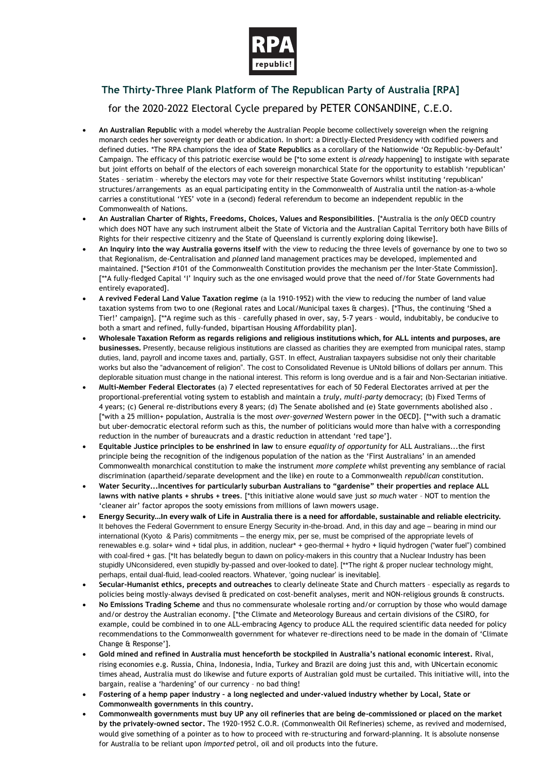

**The Thirty-Three Plank Platform of The Republican Party of Australia [RPA]** for the 2020-2022 Electoral Cycle prepared by PETER CONSANDINE, C.E.O.

- **An Australian Republic** with a model whereby the Australian People become collectively sovereign when the reigning monarch cedes her sovereignty per death or abdication. In short: a Directly-Elected Presidency with codified powers and defined duties. \*The RPA champions the idea of **State Republics** as a corollary of the Nationwide 'Oz Republic-by-Default' Campaign. The efficacy of this patriotic exercise would be [\*to some extent is *already* happening] to instigate with separate but joint efforts on behalf of the electors of each sovereign monarchical State for the opportunity to establish 'republican' States – seriatim – whereby the electors may vote for their respective State Governors whilst instituting 'republican' structures/arrangements as an equal participating entity in the Commonwealth of Australia until the nation-as-a-whole carries a constitutional 'YES' vote in a (second) federal referendum to become an independent republic in the Commonwealth of Nations.
- **An Australian Charter of Rights, Freedoms, Choices, Values and Responsibilities**. [\*Australia is the *only* OECD country which does NOT have any such instrument albeit the State of Victoria and the Australian Capital Territory both have Bills of Rights for their respective citizenry and the State of Queensland is currently exploring doing likewise].
- **An Inquiry into the way Australia governs itself** with the view to reducing the three levels of governance by one to two so that Regionalism, de-Centralisation and *planned* land management practices may be developed, implemented and maintained. [\*Section #101 of the Commonwealth Constitution provides the mechanism per the Inter-State Commission]. [\*\*A fully-fledged Capital 'I' Inquiry such as the one envisaged would prove that the need of/for State Governments had entirely evaporated].
- **A revived Federal Land Value Taxation regime** (a la 1910-1952) with the view to reducing the number of land value taxation systems from two to one (Regional rates and Local/Municipal taxes & charges). [\*Thus, the continuing 'Shed a Tier!' campaign]. [\*\*A regime such as this – carefully phased in over, say, 5-7 years – would, indubitably, be conducive to both a smart and refined, fully-funded, bipartisan Housing Affordability plan].
- **Wholesale Taxation Reform as regards religions and religious institutions which, for ALL intents and purposes, are businesses.** Presently, because religious institutions are classed as charities they are exempted from municipal rates, stamp duties, land, payroll and income taxes and, partially, GST. In effect, Australian taxpayers subsidise not only their charitable works but also the "advancement of religion". The cost to Consolidated Revenue is UNtold billions of dollars per annum. This deplorable situation must change in the national interest. This reform is long overdue and is a fair and Non-Sectarian initiative.
- **Multi-Member Federal Electorates** (a) 7 elected representatives for each of 50 Federal Electorates arrived at per the proportional-preferential voting system to establish and maintain a *truly, multi-party* democracy; (b) Fixed Terms of 4 years; (c) General re-distributions every 8 years; (d) The Senate abolished and (e) State governments abolished also . [\*with a 25 million+ population, Australia is the most *over-governed* Western power in the OECD]. [\*\*with such a dramatic but uber-democratic electoral reform such as this, the number of politicians would more than halve with a corresponding reduction in the number of bureaucrats and a drastic reduction in attendant 'red tape'].
- **Equitable Justice principles to be enshrined in law** to ensure *equality of opportunity* for ALL Australians...the first principle being the recognition of the indigenous population of the nation as the 'First Australians' in an amended Commonwealth monarchical constitution to make the instrument *more complete* whilst preventing any semblance of racial discrimination (apartheid/separate development and the like) en route to a Commonwealth *republican* constitution.
- **Water Security...Incentives for particularly suburban Australians to "gardenise" their properties and replace ALL lawns with native plants + shrubs + trees**. [\*this initiative alone would save just *so much* water – NOT to mention the 'cleaner air' factor apropos the sooty emissions from millions of lawn mowers usage.
- **Energy Security...In every walk of Life in Australia there is a need for affordable, sustainable and reliable electricity.** It behoves the Federal Government to ensure Energy Security in-the-broad. And, in this day and age – bearing in mind our international (Kyoto & Paris) commitments – the energy mix, per se, must be comprised of the appropriate levels of renewables e.g. solar+ wind + tidal plus, in addition, nuclear\* + geo-thermal + hydro + liquid hydrogen ("water fuel") combined with coal-fired + gas. [\*It has belatedly begun to dawn on policy-makers in this country that a Nuclear Industry has been stupidly UNconsidered, even stupidly by-passed and over-looked to date]. [\*\*The right & proper nuclear technology might, perhaps, entail dual-fluid, lead-cooled reactors. Whatever, 'going nuclear' is inevitable].
- **Secular-Humanist ethics, precepts and outreaches** to clearly delineate State and Church matters especially as regards to policies being mostly-always devised & predicated on cost-benefit analyses, merit and NON-religious grounds & constructs.
- **No Emissions Trading Scheme** and thus no commensurate wholesale rorting and/or corruption by those who would damage and/or destroy the Australian economy. [\*the Climate and Meteorology Bureaus and certain divisions of the CSIRO, for example, could be combined in to one ALL-embracing Agency to produce ALL the required scientific data needed for policy recommendations to the Commonwealth government for whatever re-directions need to be made in the domain of 'Climate Change & Response'].
- **Gold mined and refined in Australia must henceforth be stockpiled in Australia's national economic interest.** Rival, rising economies e.g. Russia, China, Indonesia, India, Turkey and Brazil are doing just this and, with UNcertain economic times ahead, Australia must do likewise and future exports of Australian gold must be curtailed. This initiative will, into the bargain, realise a 'hardening' of our currency – no bad thing!
- **Fostering of a hemp paper industry – a long neglected and under-valued industry whether by Local, State or Commonwealth governments in this country.**
- **Commonwealth governments must buy UP any oil refineries that are being de-commissioned or placed on the market by the privately-owned sector.** The 1920-1952 C.O.R. (Commonwealth Oil Refineries) scheme, as revived and modernised, would give something of a pointer as to how to proceed with re-structuring and forward-planning. It is absolute nonsense for Australia to be reliant upon *imported* petrol, oil and oil products into the future.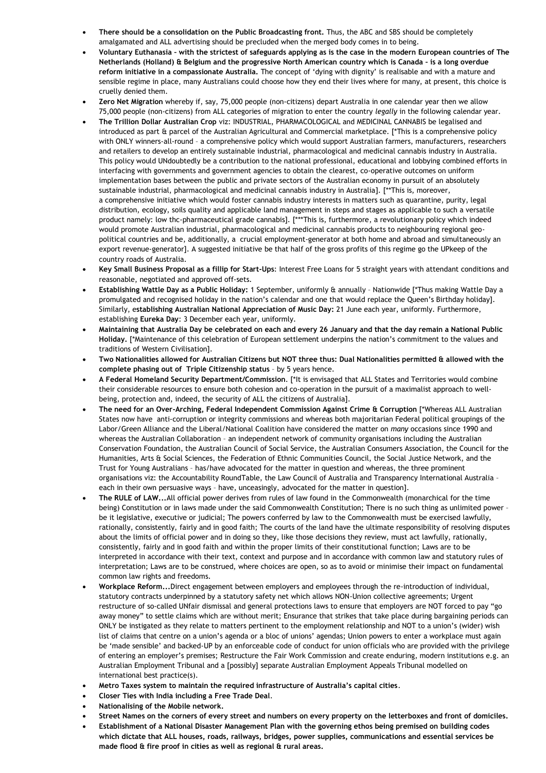- **There should be a consolidation on the Public Broadcasting front.** Thus, the ABC and SBS should be completely amalgamated and ALL advertising should be precluded when the merged body comes in to being.
- **Voluntary Euthanasia – with the strictest of safeguards applying as is the case in the modern European countries of The Netherlands (Holland) & Belgium and the progressive North American country which is Canada – is a long overdue reform initiative in a compassionate Australia.** The concept of 'dying with dignity' is realisable and with a mature and sensible regime in place, many Australians could choose how they end their lives where for many, at present, this choice is cruelly denied them.
- **Zero Net Migration** whereby if, say, 75,000 people (non-citizens) depart Australia in one calendar year then we allow 75,000 people (non-citizens) from ALL categories of migration to enter the country *legally* in the following calendar year.
- **The Trillion Dollar Australian Crop** viz: INDUSTRIAL, PHARMACOLOGICAL and MEDICINAL CANNABIS be legalised and introduced as part & parcel of the Australian Agricultural and Commercial marketplace. [\*This is a comprehensive policy with ONLY winners-all-round – a comprehensive policy which would support Australian farmers, manufacturers, researchers and retailers to develop an entirely sustainable industrial, pharmacological and medicinal cannabis industry in Australia. This policy would UNdoubtedly be a contribution to the national professional, educational and lobbying combined efforts in interfacing with governments and government agencies to obtain the clearest, co-operative outcomes on uniform implementation bases between the public and private sectors of the Australian economy in pursuit of an absolutely sustainable industrial, pharmacological and medicinal cannabis industry in Australia]. [\*\*This is, moreover, a comprehensive initiative which would foster cannabis industry interests in matters such as quarantine, purity, legal distribution, ecology, soils quality and applicable land management in steps and stages as applicable to such a versatile product namely: low thc-pharmaceutical grade cannabis]. [\*\*\*This is, furthermore, a revolutionary policy which indeed would promote Australian industrial, pharmacological and medicinal cannabis products to neighbouring regional geopolitical countries and be, additionally, a crucial employment-generator at both home and abroad and simultaneously an export revenue-generator]. A suggested initiative be that half of the gross profits of this regime go the UPkeep of the country roads of Australia.
- **Key Small Business Proposal as a fillip for Start-Ups**: Interest Free Loans for 5 straight years with attendant conditions and reasonable, negotiated and approved off-sets.
- **Establishing Wattle Day as a Public Holiday:** 1 September, uniformly & annually Nationwide [\*Thus making Wattle Day a promulgated and recognised holiday in the nation's calendar and one that would replace the Queen's Birthday holiday]. Similarly, e**stablishing Australian National Appreciation of Music Day:** 21 June each year, uniformly. Furthermore, establishing **Eureka Day**: 3 December each year, uniformly.
- **Maintaining that Australia Day be celebrated on each and every 26 January and that the day remain a National Public Holiday.** [\*Maintenance of this celebration of European settlement underpins the nation's commitment to the values and traditions of Western Civilisation].
- **Two Nationalities allowed for Australian Citizens but NOT three thus: Dual Nationalities permitted & allowed with the complete phasing out of Triple Citizenship status** – by 5 years hence.
- **A Federal Homeland Security Department/Commission**. [\*It is envisaged that ALL States and Territories would combine their considerable resources to ensure both cohesion and co-operation in the pursuit of a maximalist approach to wellbeing, protection and, indeed, the security of ALL the citizens of Australia].
- **The need for an Over-Arching, Federal Independent Commission Against Crime & Corruption** [\*Whereas ALL Australian States now have anti-corruption or integrity commissions and whereas both majoritarian Federal political groupings of the Labor/Green Alliance and the Liberal/National Coalition have considered the matter on *many* occasions since 1990 and whereas the Australian Collaboration – an independent network of community organisations including the Australian Conservation Foundation, the Australian Council of Social Service, the Australian Consumers Association, the Council for the Humanities, Arts & Social Sciences, the Federation of Ethnic Communities Council, the Social Justice Network, and the Trust for Young Australians – has/have advocated for the matter in question and whereas, the three prominent organisations viz: the Accountability RoundTable, the Law Council of Australia and Transparency International Australia – each in their own persuasive ways – have, unceasingly, advocated for the matter in question].
- **The RULE of LAW...**All official power derives from rules of law found in the Commonwealth (monarchical for the time being) Constitution or in laws made under the said Commonwealth Constitution; There is no such thing as unlimited power – be it legislative, executive or judicial; The powers conferred by law to the Commonwealth must be exercised lawfully, rationally, consistently, fairly and in good faith; The courts of the land have the ultimate responsibility of resolving disputes about the limits of official power and in doing so they, like those decisions they review, must act lawfully, rationally, consistently, fairly and in good faith and within the proper limits of their constitutional function; Laws are to be interpreted in accordance with their text, context and purpose and in accordance with common law and statutory rules of interpretation; Laws are to be construed, where choices are open, so as to avoid or minimise their impact on fundamental common law rights and freedoms.
- **Workplace Reform...**Direct engagement between employers and employees through the re-introduction of individual, statutory contracts underpinned by a statutory safety net which allows NON-Union collective agreements; Urgent restructure of so-called UNfair dismissal and general protections laws to ensure that employers are NOT forced to pay "go away money" to settle claims which are without merit; Ensurance that strikes that take place during bargaining periods can ONLY be instigated as they relate to matters pertinent to the employment relationship and NOT to a union's (wider) wish list of claims that centre on a union's agenda or a bloc of unions' agendas; Union powers to enter a workplace must again be 'made sensible' and backed-UP by an enforceable code of conduct for union officials who are provided with the privilege of entering an employer's premises; Restructure the Fair Work Commission and create enduring, modern institutions e.g. an Australian Employment Tribunal and a [possibly] separate Australian Employment Appeals Tribunal modelled on international best practice(s).
- **Metro Taxes system to maintain the required infrastructure of Australia's capital cities**.
- **Closer Ties with India including a Free Trade Deal**.
- **Nationalising of the Mobile network.**
- **Street Names on the corners of every street and numbers on every property on the letterboxes and front of domiciles.**
- **Establishment of a National Disaster Management Plan with the governing ethos being premised on building codes which dictate that ALL houses, roads, railways, bridges, power supplies, communications and essential services be made flood & fire proof in cities as well as regional & rural areas.**